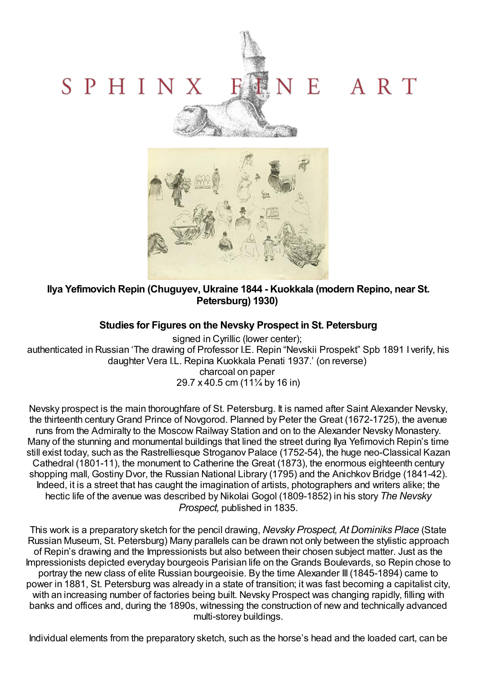



**Ilya Yefimovich Repin (Chuguyev, Ukraine 1844 - Kuokkala (modern Repino, near St. Petersburg) 1930)**

## **Studies for Figures on the Nevsky Prospect in St. Petersburg**

signed in Cyrillic (lower center); authenticated in Russian 'The drawing of Professor I.E. Repin "Nevskii Prospekt" Spb 1891 I verify, his daughter Vera I.L. Repina Kuokkala Penati 1937.' (on reverse) charcoal on paper 29.7 x 40.5 cm (11¼ by 16 in)

Nevsky prospect is the main thoroughfare of St. Petersburg. It is named after Saint Alexander Nevsky, the thirteenth centuryGrand Prince of Novgorod. Planned by Peter the Great (1672-1725), the avenue runs from the Admiralty to the Moscow Railway Station and on to the Alexander Nevsky Monastery. Many of the stunning and monumental buildings that lined the street during Ilya Yefimovich Repin's time still exist today, such as the Rastrelliesque Stroganov Palace (1752-54), the huge neo-Classical Kazan Cathedral (1801-11), the monument to Catherine the Great (1873), the enormous eighteenth century shopping mall, Gostiny Dvor, the Russian National Library (1795) and the Anichkov Bridge (1841-42). Indeed, it is a street that has caught the imagination of artists, photographers and writers alike; the hectic life of the avenue was described by Nikolai Gogol (1809-1852) in his story *The Nevsky Prospect,* published in 1835.

This work is a preparatory sketch for the pencil drawing, *Nevsky Prospect, At Dominiks Place* (State Russian Museum, St. Petersburg) Many parallels can be drawn not only between the stylistic approach of Repin's drawing and the Impressionists but also between their chosen subject matter. Just as the Impressionists depicted everyday bourgeois Parisian life on the Grands Boulevards, so Repin chose to portray the new class of elite Russian bourgeoisie. By the time Alexander III (1845-1894) came to power in 1881, St. Petersburg was already in a state of transition; it was fast becoming a capitalist city, with an increasing number of factories being built. Nevsky Prospect was changing rapidly, filling with banks and offices and, during the 1890s, witnessing the construction of new and technically advanced multi-storey buildings.

Individual elements from the preparatory sketch, such as the horse's head and the loaded cart, can be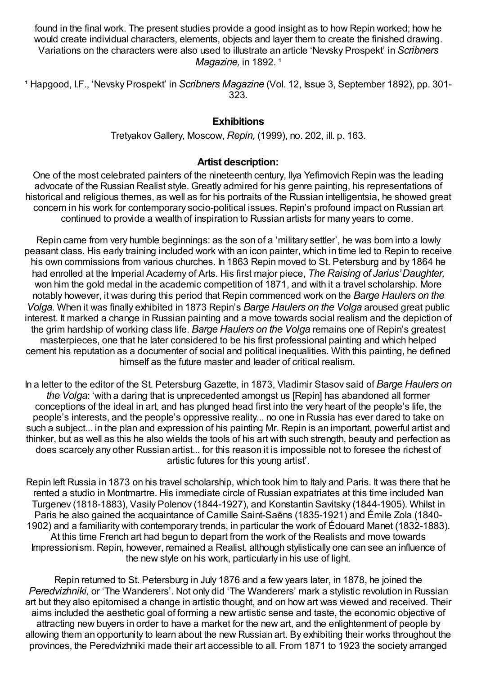found in the final work. The present studies provide a good insight as to how Repin worked; how he would create individual characters, elements, objects and layer them to create the finished drawing. Variations on the characters were also used to illustrate an article 'Nevsky Prospekt' in *Scribners Magazine*, in 1892.<sup>1</sup>

¹ Hapgood, I.F., 'Nevsky Prospekt' in *Scribners Magazine* (Vol. 12, Issue 3, September 1892), pp. 301- 323.

## **Exhibitions**

TretyakovGallery, Moscow, *Repin,* (1999), no. 202, ill. p. 163.

## **Artist description:**

One of the most celebrated painters of the nineteenth century, Ilya Yefimovich Repin was the leading advocate of the Russian Realist style. Greatly admired for his genre painting, his representations of historical and religious themes, as well as for his portraits of the Russian intelligentsia, he showed great concern in his work for contemporary socio-political issues. Repin's profound impact on Russian art continued to provide a wealth of inspiration to Russian artists for many years to come.

Repin came from very humble beginnings: as the son of a 'military settler', he was born into a lowly peasant class. His early training included work with an icon painter, which in time led to Repin to receive his own commissions from various churches. In 1863 Repin moved to St. Petersburg and by 1864 he had enrolled at the Imperial Academy of Arts. His first major piece, *The Raising of Jarius'Daughter,* won him the gold medal in the academic competition of 1871, and with it a travel scholarship. More notably however, it was during this period that Repin commenced work on the *Barge Haulers on the Volga*. When it was finally exhibited in 1873 Repin's *Barge Haulers on the Volga* aroused great public interest. It marked a change in Russian painting and a move towards social realism and the depiction of the grim hardship of working class life. *Barge Haulers on the Volga* remains one of Repin's greatest masterpieces, one that he later considered to be his first professional painting and which helped cement his reputation as a documenter of social and political inequalities. With this painting, he defined himself as the future master and leader of critical realism.

In a letter to the editor of the St. Petersburg Gazette, in 1873, Vladimir Stasov said of *Barge Haulers on the Volga*: 'with a daring that is unprecedented amongst us [Repin] has abandoned all former conceptions of the ideal in art, and has plunged head first into the very heart of the people's life, the people's interests, and the people's oppressive reality... no one in Russia has ever dared to take on such a subject... in the plan and expression of his painting Mr. Repin is an important, powerful artist and thinker, but as well as this he also wields the tools of his art with such strength, beauty and perfection as does scarcely any other Russian artist... for this reason it is impossible not to foresee the richest of artistic futures for this young artist'.

Repin left Russia in 1873 on his travel scholarship, which took him to Italy and Paris. It was there that he rented a studio in Montmartre. His immediate circle of Russian expatriates at this time included Ivan Turgenev (1818-1883), Vasily Polenov (1844-1927), and Konstantin Savitsky (1844-1905). Whilst in Paris he also gained the acquaintance of Camille Saint-Saëns (1835-1921) and Émile Zola (1840- 1902) and a familiarity with contemporary trends, in particular the work of Édouard Manet (1832-1883). At this time French art had begun to depart from the work of the Realists and move towards Impressionism. Repin, however, remained a Realist, although stylistically one can see an influence of the new style on his work, particularly in his use of light.

Repin returned to St. Petersburg in July 1876 and a few years later, in 1878, he joined the *Peredvizhniki,* or 'The Wanderers'. Not only did 'The Wanderers' mark a stylistic revolution in Russian art but they also epitomised a change in artistic thought, and on how art was viewed and received. Their aims included the aesthetic goal of forming a new artistic sense and taste, the economic objective of attracting new buyers in order to have a market for the new art, and the enlightenment of people by allowing them an opportunity to learn about the new Russian art. By exhibiting their works throughout the provinces, the Peredvizhniki made their art accessible to all. From 1871 to 1923 the society arranged